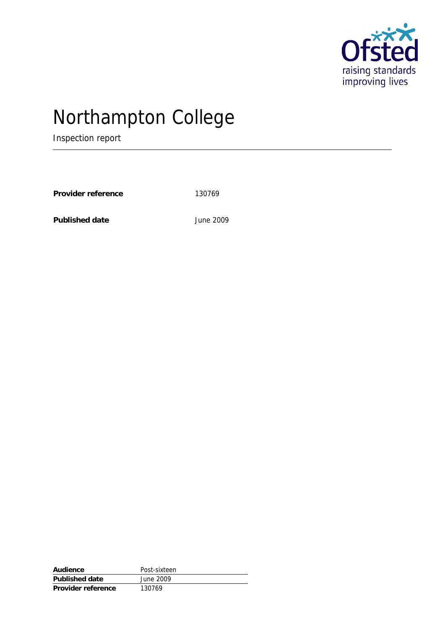

# Northampton College

Inspection report

Provider reference 130769

**Published date** June 2009

| Audience           | Post-sixteen |
|--------------------|--------------|
| Published date     | June 2009    |
| Provider reference | 130769       |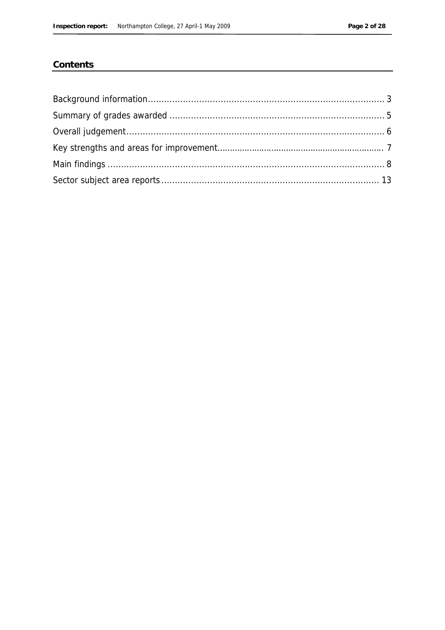### Contents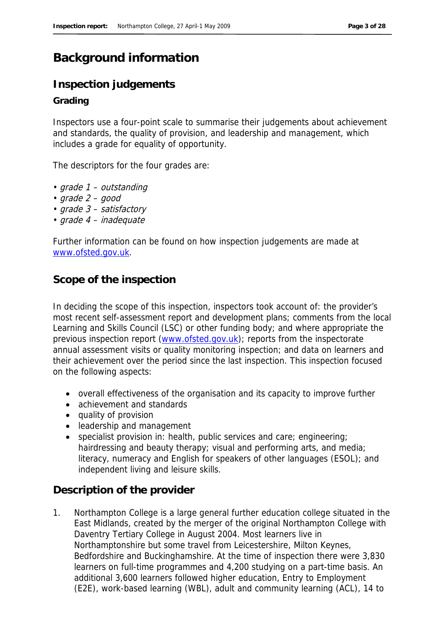## **Background information**

### **Inspection judgements**

#### **Grading**

Inspectors use a four-point scale to summarise their judgements about achievement and standards, the quality of provision, and leadership and management, which includes a grade for equality of opportunity.

The descriptors for the four grades are:

- grade 1 outstanding
- grade 2 good
- grade 3 satisfactory
- grade 4 inadequate

Further information can be found on how inspection judgements are made at www.ofsted.gov.uk.

### **Scope of the inspection**

In deciding the scope of this inspection, inspectors took account of: the provider's most recent self-assessment report and development plans; comments from the local Learning and Skills Council (LSC) or other funding body; and where appropriate the previous inspection report (www.ofsted.gov.uk); reports from the inspectorate annual assessment visits or quality monitoring inspection; and data on learners and their achievement over the period since the last inspection. This inspection focused on the following aspects:

- overall effectiveness of the organisation and its capacity to improve further
- achievement and standards
- quality of provision
- leadership and management
- specialist provision in: health, public services and care; engineering; hairdressing and beauty therapy; visual and performing arts, and media; literacy, numeracy and English for speakers of other languages (ESOL); and independent living and leisure skills.

#### **Description of the provider**

1. Northampton College is a large general further education college situated in the East Midlands, created by the merger of the original Northampton College with Daventry Tertiary College in August 2004. Most learners live in Northamptonshire but some travel from Leicestershire, Milton Keynes, Bedfordshire and Buckinghamshire. At the time of inspection there were 3,830 learners on full-time programmes and 4,200 studying on a part-time basis. An additional 3,600 learners followed higher education, Entry to Employment (E2E), work-based learning (WBL), adult and community learning (ACL), 14 to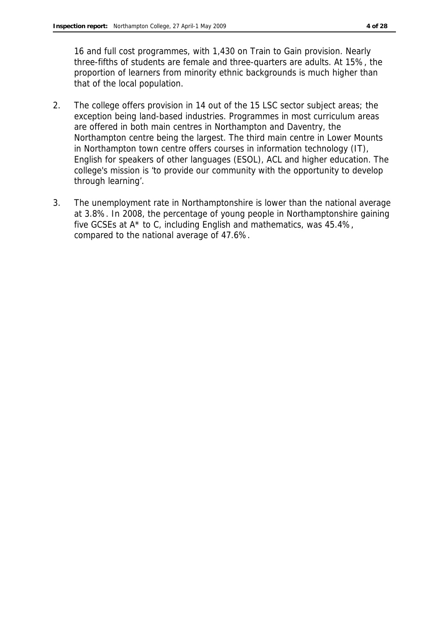16 and full cost programmes, with 1,430 on Train to Gain provision. Nearly three-fifths of students are female and three-quarters are adults. At 15%, the proportion of learners from minority ethnic backgrounds is much higher than that of the local population.

- 2. The college offers provision in 14 out of the 15 LSC sector subject areas; the exception being land-based industries. Programmes in most curriculum areas are offered in both main centres in Northampton and Daventry, the Northampton centre being the largest. The third main centre in Lower Mounts in Northampton town centre offers courses in information technology (IT), English for speakers of other languages (ESOL), ACL and higher education. The college's mission is 'to provide our community with the opportunity to develop through learning'.
- 3. The unemployment rate in Northamptonshire is lower than the national average at 3.8%. In 2008, the percentage of young people in Northamptonshire gaining five GCSEs at A\* to C, including English and mathematics, was 45.4%, compared to the national average of 47.6%.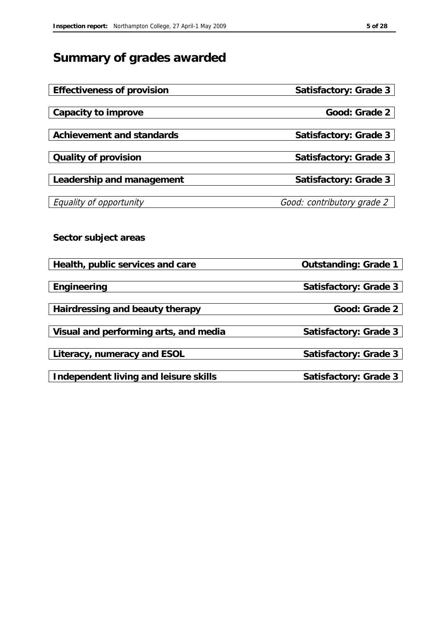# **Summary of grades awarded**

| Effectiveness of provision            | Satisfactory: Grade 3      |
|---------------------------------------|----------------------------|
|                                       | Good: Grade 2              |
| Capacity to improve                   |                            |
| Achievement and standards             | Satisfactory: Grade 3      |
| Quality of provision                  | Satisfactory: Grade 3      |
| Leadership and management             | Satisfactory: Grade 3      |
| Equality of opportunity               | Good: contributory grade 2 |
| Sector subject areas                  |                            |
| Health, public services and care      | Outstanding: Grade 1       |
| Engineering                           | Satisfactory: Grade 3      |
| Hairdressing and beauty therapy       | Good: Grade 2              |
| Visual and performing arts, and media | Satisfactory: Grade 3      |
| Literacy, numeracy and ESOL           | Satisfactory: Grade 3      |
| Independent living and leisure skills | Satisfactory: Grade 3      |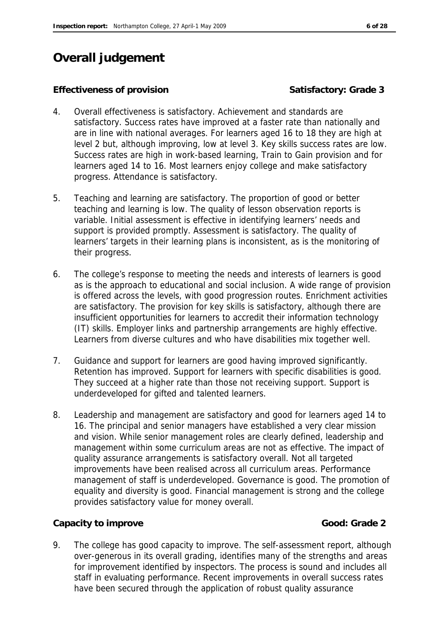# **Overall judgement**

#### Effectiveness of provision **Satisfactory: Grade 3**

- 4. Overall effectiveness is satisfactory. Achievement and standards are satisfactory. Success rates have improved at a faster rate than nationally and are in line with national averages. For learners aged 16 to 18 they are high at level 2 but, although improving, low at level 3. Key skills success rates are low. Success rates are high in work-based learning, Train to Gain provision and for learners aged 14 to 16. Most learners enjoy college and make satisfactory progress. Attendance is satisfactory.
- 5. Teaching and learning are satisfactory. The proportion of good or better teaching and learning is low. The quality of lesson observation reports is variable. Initial assessment is effective in identifying learners' needs and support is provided promptly. Assessment is satisfactory. The quality of learners' targets in their learning plans is inconsistent, as is the monitoring of their progress.
- 6. The college's response to meeting the needs and interests of learners is good as is the approach to educational and social inclusion. A wide range of provision is offered across the levels, with good progression routes. Enrichment activities are satisfactory. The provision for key skills is satisfactory, although there are insufficient opportunities for learners to accredit their information technology (IT) skills. Employer links and partnership arrangements are highly effective. Learners from diverse cultures and who have disabilities mix together well.
- 7. Guidance and support for learners are good having improved significantly. Retention has improved. Support for learners with specific disabilities is good. They succeed at a higher rate than those not receiving support. Support is underdeveloped for gifted and talented learners.
- 8. Leadership and management are satisfactory and good for learners aged 14 to 16. The principal and senior managers have established a very clear mission and vision. While senior management roles are clearly defined, leadership and management within some curriculum areas are not as effective. The impact of quality assurance arrangements is satisfactory overall. Not all targeted improvements have been realised across all curriculum areas. Performance management of staff is underdeveloped. Governance is good. The promotion of equality and diversity is good. Financial management is strong and the college provides satisfactory value for money overall.

Capacity to improve **Good:** Grade 2

9. The college has good capacity to improve. The self-assessment report, although over-generous in its overall grading, identifies many of the strengths and areas for improvement identified by inspectors. The process is sound and includes all staff in evaluating performance. Recent improvements in overall success rates have been secured through the application of robust quality assurance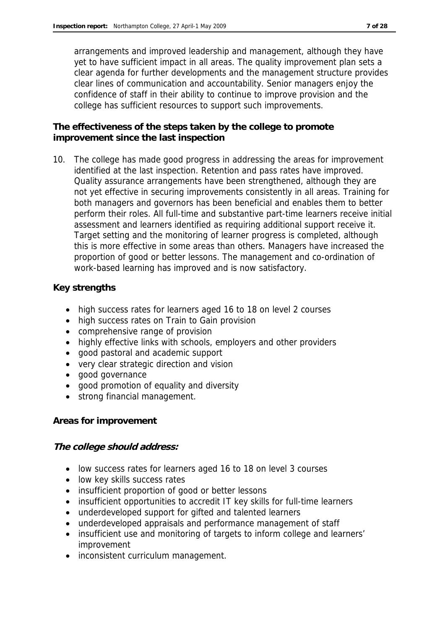arrangements and improved leadership and management, although they have yet to have sufficient impact in all areas. The quality improvement plan sets a clear agenda for further developments and the management structure provides clear lines of communication and accountability. Senior managers enjoy the confidence of staff in their ability to continue to improve provision and the college has sufficient resources to support such improvements.

**The effectiveness of the steps taken by the college to promote improvement since the last inspection**

10. The college has made good progress in addressing the areas for improvement identified at the last inspection. Retention and pass rates have improved. Quality assurance arrangements have been strengthened, although they are not yet effective in securing improvements consistently in all areas. Training for both managers and governors has been beneficial and enables them to better perform their roles. All full-time and substantive part-time learners receive initial assessment and learners identified as requiring additional support receive it. Target setting and the monitoring of learner progress is completed, although this is more effective in some areas than others. Managers have increased the proportion of good or better lessons. The management and co-ordination of work-based learning has improved and is now satisfactory.

#### **Key strengths**

- high success rates for learners aged 16 to 18 on level 2 courses
- high success rates on Train to Gain provision
- comprehensive range of provision
- highly effective links with schools, employers and other providers
- good pastoral and academic support
- very clear strategic direction and vision
- good governance
- good promotion of equality and diversity
- strong financial management.

#### **Areas for improvement**

**The college should address:**

- low success rates for learners aged 16 to 18 on level 3 courses
- low key skills success rates
- insufficient proportion of good or better lessons
- insufficient opportunities to accredit IT key skills for full-time learners
- underdeveloped support for gifted and talented learners
- underdeveloped appraisals and performance management of staff
- insufficient use and monitoring of targets to inform college and learners' improvement
- inconsistent curriculum management.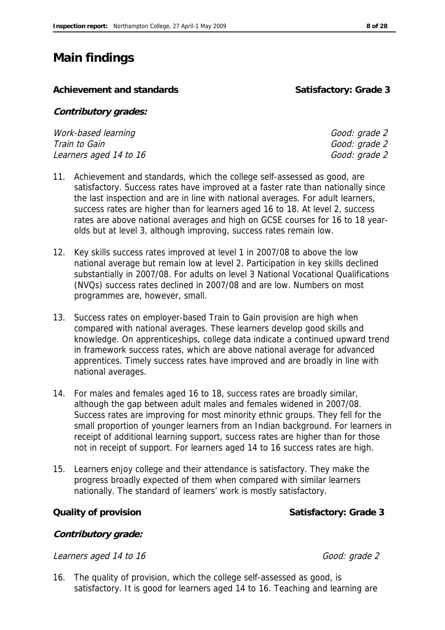# **Main findings**

Achievement and standards **Satisfactory: Grade 3** 

**Contributory grades:** 

Work-based learning and the state of the Good: grade 2 Train to Gain Good:  $G$  and  $G$  and  $G$  and  $G$  and  $G$  and  $G$  and  $G$  and  $G$  and  $G$  and  $G$  and  $G$  and  $G$  and  $G$  and  $G$  and  $G$  and  $G$  and  $G$  and  $G$  and  $G$  and  $G$  and  $G$  and  $G$  and  $G$  and  $G$  and  $G$  and  $G$ Learners aged 14 to 16 Good: grade 2

- 11. Achievement and standards, which the college self-assessed as good, are satisfactory. Success rates have improved at a faster rate than nationally since the last inspection and are in line with national averages. For adult learners, success rates are higher than for learners aged 16 to 18. At level 2, success rates are above national averages and high on GCSE courses for 16 to 18 yearolds but at level 3, although improving, success rates remain low.
- 12. Key skills success rates improved at level 1 in 2007/08 to above the low national average but remain low at level 2. Participation in key skills declined substantially in 2007/08. For adults on level 3 National Vocational Qualifications (NVQs) success rates declined in 2007/08 and are low. Numbers on most programmes are, however, small.
- 13. Success rates on employer-based Train to Gain provision are high when compared with national averages. These learners develop good skills and knowledge. On apprenticeships, college data indicate a continued upward trend in framework success rates, which are above national average for advanced apprentices. Timely success rates have improved and are broadly in line with national averages.
- 14. For males and females aged 16 to 18, success rates are broadly similar, although the gap between adult males and females widened in 2007/08. Success rates are improving for most minority ethnic groups. They fell for the small proportion of younger learners from an Indian background. For learners in receipt of additional learning support, success rates are higher than for those not in receipt of support. For learners aged 14 to 16 success rates are high.
- 15. Learners enjoy college and their attendance is satisfactory. They make the progress broadly expected of them when compared with similar learners nationally. The standard of learners' work is mostly satisfactory.

**Quality of provision** Community of provision Satisfactory: Grade 3

**Contributory grade:**

Learners aged 14 to 16 Good: grade 2

- 
- 16. The quality of provision, which the college self-assessed as good, is satisfactory. It is good for learners aged 14 to 16. Teaching and learning are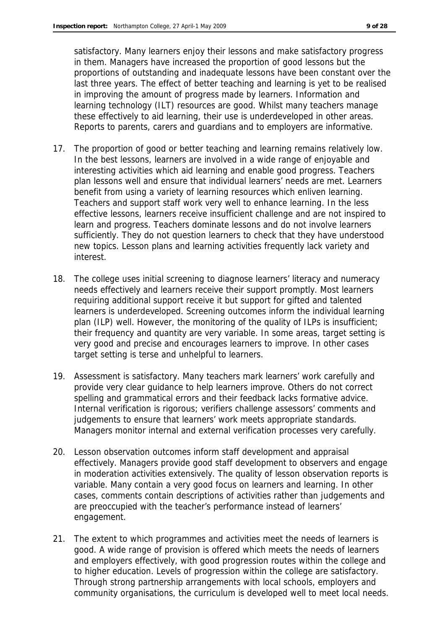satisfactory. Many learners enjoy their lessons and make satisfactory progress in them. Managers have increased the proportion of good lessons but the proportions of outstanding and inadequate lessons have been constant over the last three years. The effect of better teaching and learning is yet to be realised in improving the amount of progress made by learners. Information and learning technology (ILT) resources are good. Whilst many teachers manage these effectively to aid learning, their use is underdeveloped in other areas. Reports to parents, carers and guardians and to employers are informative.

- 17. The proportion of good or better teaching and learning remains relatively low. In the best lessons, learners are involved in a wide range of enjoyable and interesting activities which aid learning and enable good progress. Teachers plan lessons well and ensure that individual learners' needs are met. Learners benefit from using a variety of learning resources which enliven learning. Teachers and support staff work very well to enhance learning. In the less effective lessons, learners receive insufficient challenge and are not inspired to learn and progress. Teachers dominate lessons and do not involve learners sufficiently. They do not question learners to check that they have understood new topics. Lesson plans and learning activities frequently lack variety and interest.
- 18. The college uses initial screening to diagnose learners' literacy and numeracy needs effectively and learners receive their support promptly. Most learners requiring additional support receive it but support for gifted and talented learners is underdeveloped. Screening outcomes inform the individual learning plan (ILP) well. However, the monitoring of the quality of ILPs is insufficient; their frequency and quantity are very variable. In some areas, target setting is very good and precise and encourages learners to improve. In other cases target setting is terse and unhelpful to learners.
- 19. Assessment is satisfactory. Many teachers mark learners' work carefully and provide very clear guidance to help learners improve. Others do not correct spelling and grammatical errors and their feedback lacks formative advice. Internal verification is rigorous; verifiers challenge assessors' comments and judgements to ensure that learners' work meets appropriate standards. Managers monitor internal and external verification processes very carefully.
- 20. Lesson observation outcomes inform staff development and appraisal effectively. Managers provide good staff development to observers and engage in moderation activities extensively. The quality of lesson observation reports is variable. Many contain a very good focus on learners and learning. In other cases, comments contain descriptions of activities rather than judgements and are preoccupied with the teacher's performance instead of learners' engagement.
- 21. The extent to which programmes and activities meet the needs of learners is good. A wide range of provision is offered which meets the needs of learners and employers effectively, with good progression routes within the college and to higher education. Levels of progression within the college are satisfactory. Through strong partnership arrangements with local schools, employers and community organisations, the curriculum is developed well to meet local needs.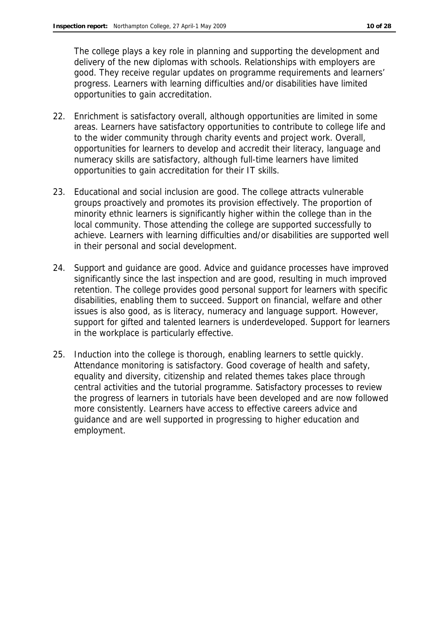The college plays a key role in planning and supporting the development and delivery of the new diplomas with schools. Relationships with employers are good. They receive regular updates on programme requirements and learners' progress. Learners with learning difficulties and/or disabilities have limited opportunities to gain accreditation.

- 22. Enrichment is satisfactory overall, although opportunities are limited in some areas. Learners have satisfactory opportunities to contribute to college life and to the wider community through charity events and project work. Overall, opportunities for learners to develop and accredit their literacy, language and numeracy skills are satisfactory, although full-time learners have limited opportunities to gain accreditation for their IT skills.
- 23. Educational and social inclusion are good. The college attracts vulnerable groups proactively and promotes its provision effectively. The proportion of minority ethnic learners is significantly higher within the college than in the local community. Those attending the college are supported successfully to achieve. Learners with learning difficulties and/or disabilities are supported well in their personal and social development.
- 24. Support and guidance are good. Advice and guidance processes have improved significantly since the last inspection and are good, resulting in much improved retention. The college provides good personal support for learners with specific disabilities, enabling them to succeed. Support on financial, welfare and other issues is also good, as is literacy, numeracy and language support. However, support for gifted and talented learners is underdeveloped. Support for learners in the workplace is particularly effective.
- 25. Induction into the college is thorough, enabling learners to settle quickly. Attendance monitoring is satisfactory. Good coverage of health and safety, equality and diversity, citizenship and related themes takes place through central activities and the tutorial programme. Satisfactory processes to review the progress of learners in tutorials have been developed and are now followed more consistently. Learners have access to effective careers advice and guidance and are well supported in progressing to higher education and employment.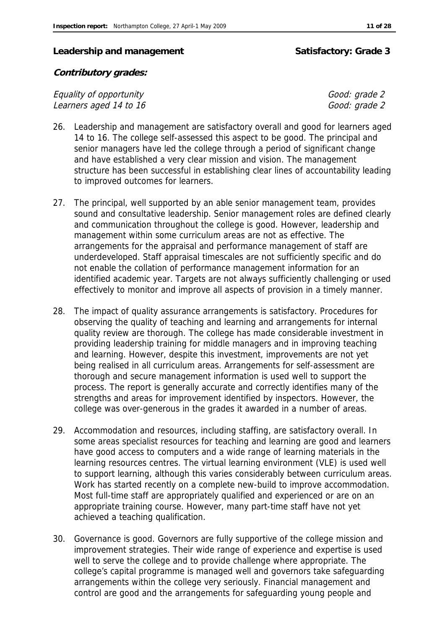#### Leadership and management **Satisfactory: Grade 3**

**Contributory grades:**

Equality of opportunity<br>
Learners aged 14 to 16 Learners aged 14 to 16

- 26. Leadership and management are satisfactory overall and good for learners aged 14 to 16. The college self-assessed this aspect to be good. The principal and senior managers have led the college through a period of significant change and have established a very clear mission and vision. The management structure has been successful in establishing clear lines of accountability leading to improved outcomes for learners.
- 27. The principal, well supported by an able senior management team, provides sound and consultative leadership. Senior management roles are defined clearly and communication throughout the college is good. However, leadership and management within some curriculum areas are not as effective. The arrangements for the appraisal and performance management of staff are underdeveloped. Staff appraisal timescales are not sufficiently specific and do not enable the collation of performance management information for an identified academic year. Targets are not always sufficiently challenging or used effectively to monitor and improve all aspects of provision in a timely manner.
- 28. The impact of quality assurance arrangements is satisfactory. Procedures for observing the quality of teaching and learning and arrangements for internal quality review are thorough. The college has made considerable investment in providing leadership training for middle managers and in improving teaching and learning. However, despite this investment, improvements are not yet being realised in all curriculum areas. Arrangements for self-assessment are thorough and secure management information is used well to support the process. The report is generally accurate and correctly identifies many of the strengths and areas for improvement identified by inspectors. However, the college was over-generous in the grades it awarded in a number of areas.
- 29. Accommodation and resources, including staffing, are satisfactory overall. In some areas specialist resources for teaching and learning are good and learners have good access to computers and a wide range of learning materials in the learning resources centres. The virtual learning environment (VLE) is used well to support learning, although this varies considerably between curriculum areas. Work has started recently on a complete new-build to improve accommodation. Most full-time staff are appropriately qualified and experienced or are on an appropriate training course. However, many part-time staff have not yet achieved a teaching qualification.
- 30. Governance is good. Governors are fully supportive of the college mission and improvement strategies. Their wide range of experience and expertise is used well to serve the college and to provide challenge where appropriate. The college's capital programme is managed well and governors take safeguarding arrangements within the college very seriously. Financial management and control are good and the arrangements for safeguarding young people and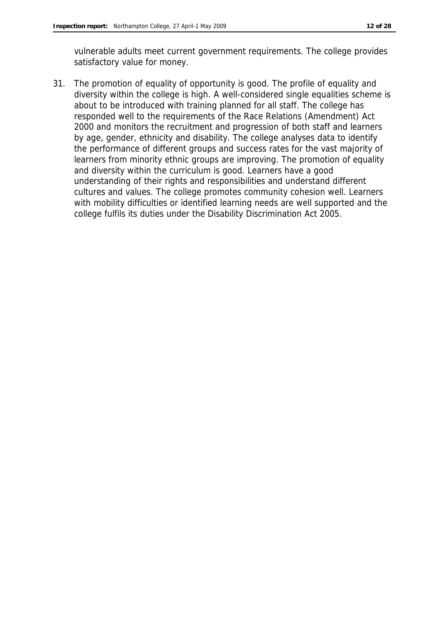vulnerable adults meet current government requirements. The college provides satisfactory value for money.

31. The promotion of equality of opportunity is good. The profile of equality and diversity within the college is high. A well-considered single equalities scheme is about to be introduced with training planned for all staff. The college has responded well to the requirements of the Race Relations (Amendment) Act 2000 and monitors the recruitment and progression of both staff and learners by age, gender, ethnicity and disability. The college analyses data to identify the performance of different groups and success rates for the vast majority of learners from minority ethnic groups are improving. The promotion of equality and diversity within the curriculum is good. Learners have a good understanding of their rights and responsibilities and understand different cultures and values. The college promotes community cohesion well. Learners with mobility difficulties or identified learning needs are well supported and the college fulfils its duties under the Disability Discrimination Act 2005.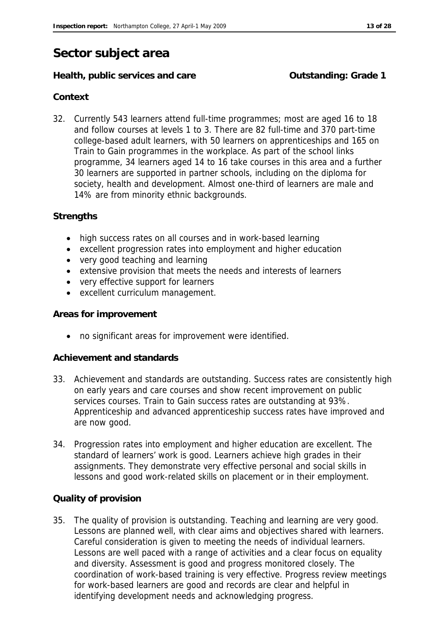# **Sector subject area**

#### Health, public services and care **Carefording**: Grade 1

#### **Context**

32. Currently 543 learners attend full-time programmes; most are aged 16 to 18 and follow courses at levels 1 to 3. There are 82 full-time and 370 part-time college-based adult learners, with 50 learners on apprenticeships and 165 on Train to Gain programmes in the workplace. As part of the school links programme, 34 learners aged 14 to 16 take courses in this area and a further 30 learners are supported in partner schools, including on the diploma for society, health and development. Almost one-third of learners are male and 14% are from minority ethnic backgrounds.

#### **Strengths**

- high success rates on all courses and in work-based learning
- excellent progression rates into employment and higher education
- very good teaching and learning
- extensive provision that meets the needs and interests of learners
- very effective support for learners
- excellent curriculum management.

#### **Areas for improvement**

no significant areas for improvement were identified.

#### **Achievement and standards**

- 33. Achievement and standards are outstanding. Success rates are consistently high on early years and care courses and show recent improvement on public services courses. Train to Gain success rates are outstanding at 93%. Apprenticeship and advanced apprenticeship success rates have improved and are now good.
- 34. Progression rates into employment and higher education are excellent. The standard of learners' work is good. Learners achieve high grades in their assignments. They demonstrate very effective personal and social skills in lessons and good work-related skills on placement or in their employment.

#### **Quality of provision**

35. The quality of provision is outstanding. Teaching and learning are very good. Lessons are planned well, with clear aims and objectives shared with learners. Careful consideration is given to meeting the needs of individual learners. Lessons are well paced with a range of activities and a clear focus on equality and diversity. Assessment is good and progress monitored closely. The coordination of work-based training is very effective. Progress review meetings for work-based learners are good and records are clear and helpful in identifying development needs and acknowledging progress.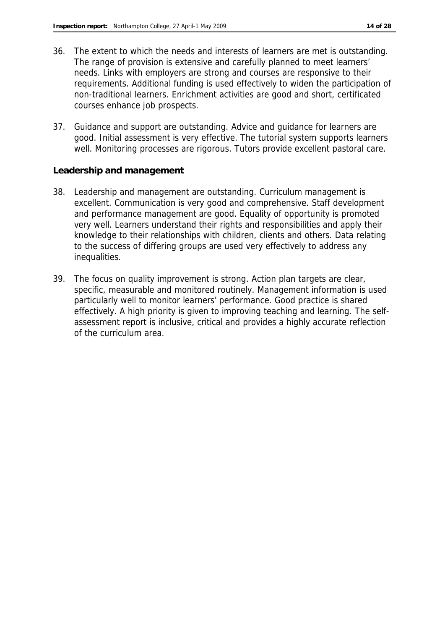- 36. The extent to which the needs and interests of learners are met is outstanding. The range of provision is extensive and carefully planned to meet learners' needs. Links with employers are strong and courses are responsive to their requirements. Additional funding is used effectively to widen the participation of non-traditional learners. Enrichment activities are good and short, certificated courses enhance job prospects.
- 37. Guidance and support are outstanding. Advice and guidance for learners are good. Initial assessment is very effective. The tutorial system supports learners well. Monitoring processes are rigorous. Tutors provide excellent pastoral care.

**Leadership and management**

- 38. Leadership and management are outstanding. Curriculum management is excellent. Communication is very good and comprehensive. Staff development and performance management are good. Equality of opportunity is promoted very well. Learners understand their rights and responsibilities and apply their knowledge to their relationships with children, clients and others. Data relating to the success of differing groups are used very effectively to address any inequalities.
- 39. The focus on quality improvement is strong. Action plan targets are clear, specific, measurable and monitored routinely. Management information is used particularly well to monitor learners' performance. Good practice is shared effectively. A high priority is given to improving teaching and learning. The selfassessment report is inclusive, critical and provides a highly accurate reflection of the curriculum area.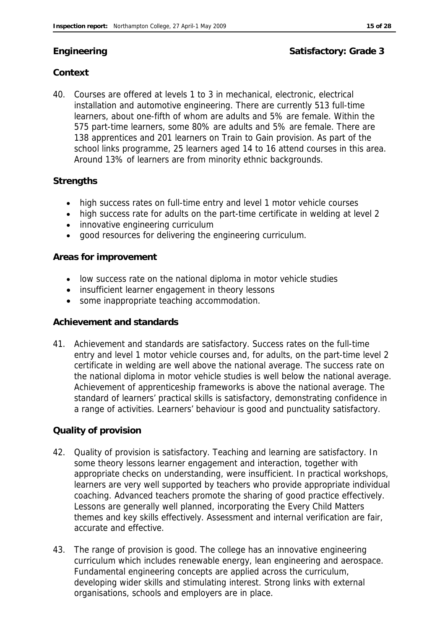### **Engineering Satisfactory: Grade 3**

### **Context**

40. Courses are offered at levels 1 to 3 in mechanical, electronic, electrical installation and automotive engineering. There are currently 513 full-time learners, about one-fifth of whom are adults and 5% are female. Within the 575 part-time learners, some 80% are adults and 5% are female. There are 138 apprentices and 201 learners on Train to Gain provision. As part of the school links programme, 25 learners aged 14 to 16 attend courses in this area. Around 13% of learners are from minority ethnic backgrounds.

#### **Strengths**

- high success rates on full-time entry and level 1 motor vehicle courses
- high success rate for adults on the part-time certificate in welding at level 2
- innovative engineering curriculum
- good resources for delivering the engineering curriculum.

#### **Areas for improvement**

- low success rate on the national diploma in motor vehicle studies
- insufficient learner engagement in theory lessons
- some inappropriate teaching accommodation.

#### **Achievement and standards**

41. Achievement and standards are satisfactory. Success rates on the full-time entry and level 1 motor vehicle courses and, for adults, on the part-time level 2 certificate in welding are well above the national average. The success rate on the national diploma in motor vehicle studies is well below the national average. Achievement of apprenticeship frameworks is above the national average. The standard of learners' practical skills is satisfactory, demonstrating confidence in a range of activities. Learners' behaviour is good and punctuality satisfactory.

#### **Quality of provision**

- 42. Quality of provision is satisfactory. Teaching and learning are satisfactory. In some theory lessons learner engagement and interaction, together with appropriate checks on understanding, were insufficient. In practical workshops, learners are very well supported by teachers who provide appropriate individual coaching. Advanced teachers promote the sharing of good practice effectively. Lessons are generally well planned, incorporating the Every Child Matters themes and key skills effectively. Assessment and internal verification are fair, accurate and effective.
- 43. The range of provision is good. The college has an innovative engineering curriculum which includes renewable energy, lean engineering and aerospace. Fundamental engineering concepts are applied across the curriculum, developing wider skills and stimulating interest. Strong links with external organisations, schools and employers are in place.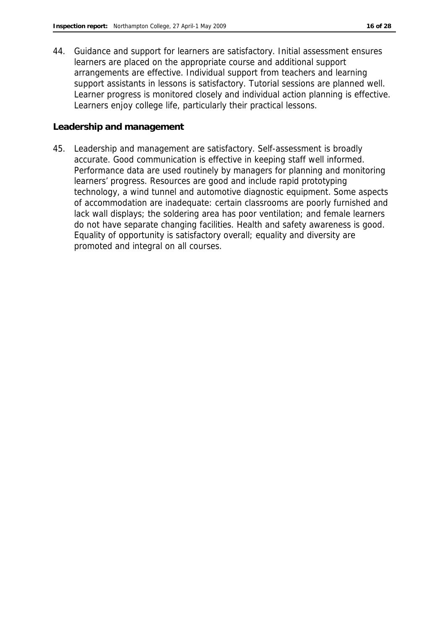44. Guidance and support for learners are satisfactory. Initial assessment ensures learners are placed on the appropriate course and additional support arrangements are effective. Individual support from teachers and learning support assistants in lessons is satisfactory. Tutorial sessions are planned well. Learner progress is monitored closely and individual action planning is effective. Learners enjoy college life, particularly their practical lessons.

#### **Leadership and management**

45. Leadership and management are satisfactory. Self-assessment is broadly accurate. Good communication is effective in keeping staff well informed. Performance data are used routinely by managers for planning and monitoring learners' progress. Resources are good and include rapid prototyping technology, a wind tunnel and automotive diagnostic equipment. Some aspects of accommodation are inadequate: certain classrooms are poorly furnished and lack wall displays; the soldering area has poor ventilation; and female learners do not have separate changing facilities. Health and safety awareness is good. Equality of opportunity is satisfactory overall; equality and diversity are promoted and integral on all courses.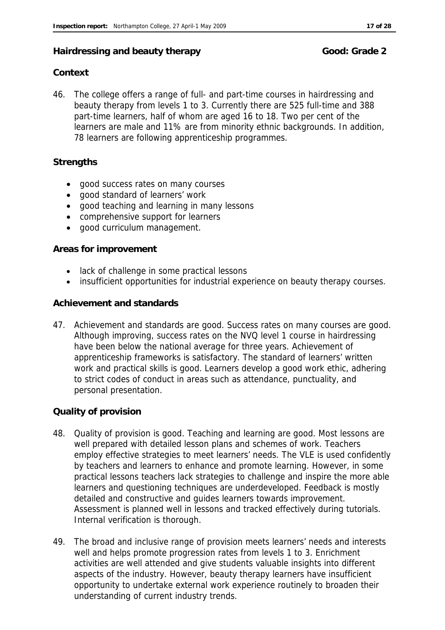#### Hairdressing and beauty therapy **Good:** Grade 2

#### **Context**

46. The college offers a range of full- and part-time courses in hairdressing and beauty therapy from levels 1 to 3. Currently there are 525 full-time and 388 part-time learners, half of whom are aged 16 to 18. Two per cent of the learners are male and 11% are from minority ethnic backgrounds. In addition, 78 learners are following apprenticeship programmes.

#### **Strengths**

- good success rates on many courses
- good standard of learners' work
- good teaching and learning in many lessons
- comprehensive support for learners
- good curriculum management.

#### **Areas for improvement**

- lack of challenge in some practical lessons
- insufficient opportunities for industrial experience on beauty therapy courses.

#### **Achievement and standards**

47. Achievement and standards are good. Success rates on many courses are good. Although improving, success rates on the NVQ level 1 course in hairdressing have been below the national average for three years. Achievement of apprenticeship frameworks is satisfactory. The standard of learners' written work and practical skills is good. Learners develop a good work ethic, adhering to strict codes of conduct in areas such as attendance, punctuality, and personal presentation.

#### **Quality of provision**

- 48. Quality of provision is good. Teaching and learning are good. Most lessons are well prepared with detailed lesson plans and schemes of work. Teachers employ effective strategies to meet learners' needs. The VLE is used confidently by teachers and learners to enhance and promote learning. However, in some practical lessons teachers lack strategies to challenge and inspire the more able learners and questioning techniques are underdeveloped. Feedback is mostly detailed and constructive and guides learners towards improvement. Assessment is planned well in lessons and tracked effectively during tutorials. Internal verification is thorough.
- 49. The broad and inclusive range of provision meets learners' needs and interests well and helps promote progression rates from levels 1 to 3. Enrichment activities are well attended and give students valuable insights into different aspects of the industry. However, beauty therapy learners have insufficient opportunity to undertake external work experience routinely to broaden their understanding of current industry trends.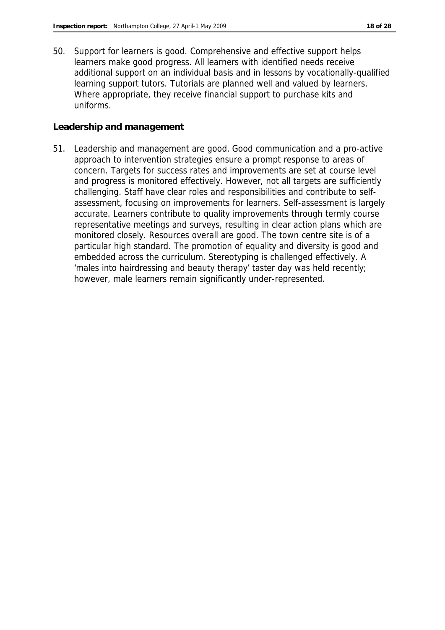50. Support for learners is good. Comprehensive and effective support helps learners make good progress. All learners with identified needs receive additional support on an individual basis and in lessons by vocationally-qualified learning support tutors. Tutorials are planned well and valued by learners. Where appropriate, they receive financial support to purchase kits and uniforms.

#### **Leadership and management**

51. Leadership and management are good. Good communication and a pro-active approach to intervention strategies ensure a prompt response to areas of concern. Targets for success rates and improvements are set at course level and progress is monitored effectively. However, not all targets are sufficiently challenging. Staff have clear roles and responsibilities and contribute to selfassessment, focusing on improvements for learners. Self-assessment is largely accurate. Learners contribute to quality improvements through termly course representative meetings and surveys, resulting in clear action plans which are monitored closely. Resources overall are good. The town centre site is of a particular high standard. The promotion of equality and diversity is good and embedded across the curriculum. Stereotyping is challenged effectively. A 'males into hairdressing and beauty therapy' taster day was held recently; however, male learners remain significantly under-represented.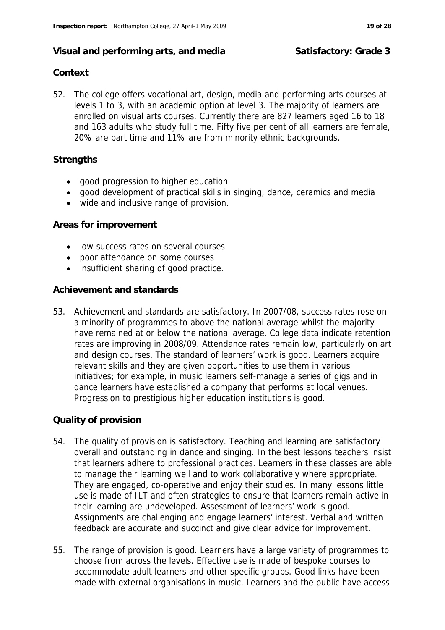#### Visual and performing arts, and media **Satisfactory: Grade 3**

#### **Context**

52. The college offers vocational art, design, media and performing arts courses at levels 1 to 3, with an academic option at level 3. The majority of learners are enrolled on visual arts courses. Currently there are 827 learners aged 16 to 18 and 163 adults who study full time. Fifty five per cent of all learners are female, 20% are part time and 11% are from minority ethnic backgrounds.

#### **Strengths**

- good progression to higher education
- good development of practical skills in singing, dance, ceramics and media
- wide and inclusive range of provision.

#### **Areas for improvement**

- low success rates on several courses
- poor attendance on some courses
- insufficient sharing of good practice.

#### **Achievement and standards**

53. Achievement and standards are satisfactory. In 2007/08, success rates rose on a minority of programmes to above the national average whilst the majority have remained at or below the national average. College data indicate retention rates are improving in 2008/09. Attendance rates remain low, particularly on art and design courses. The standard of learners' work is good. Learners acquire relevant skills and they are given opportunities to use them in various initiatives; for example, in music learners self-manage a series of gigs and in dance learners have established a company that performs at local venues. Progression to prestigious higher education institutions is good.

#### **Quality of provision**

- 54. The quality of provision is satisfactory. Teaching and learning are satisfactory overall and outstanding in dance and singing. In the best lessons teachers insist that learners adhere to professional practices. Learners in these classes are able to manage their learning well and to work collaboratively where appropriate. They are engaged, co-operative and enjoy their studies. In many lessons little use is made of ILT and often strategies to ensure that learners remain active in their learning are undeveloped. Assessment of learners' work is good. Assignments are challenging and engage learners' interest. Verbal and written feedback are accurate and succinct and give clear advice for improvement.
- 55. The range of provision is good. Learners have a large variety of programmes to choose from across the levels. Effective use is made of bespoke courses to accommodate adult learners and other specific groups. Good links have been made with external organisations in music. Learners and the public have access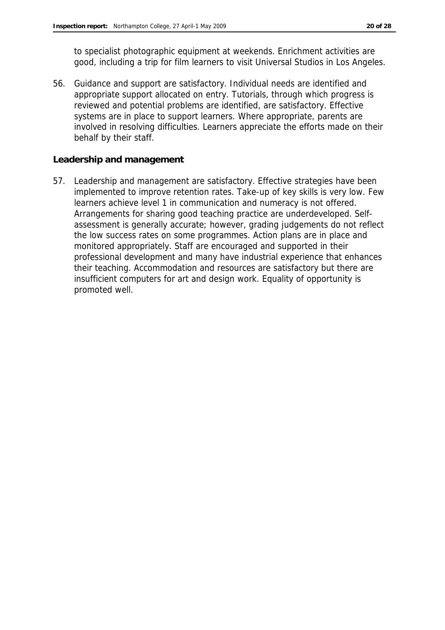to specialist photographic equipment at weekends. Enrichment activities are good, including a trip for film learners to visit Universal Studios in Los Angeles.

56. Guidance and support are satisfactory. Individual needs are identified and appropriate support allocated on entry. Tutorials, through which progress is reviewed and potential problems are identified, are satisfactory. Effective systems are in place to support learners. Where appropriate, parents are involved in resolving difficulties. Learners appreciate the efforts made on their behalf by their staff.

**Leadership and management**

57. Leadership and management are satisfactory. Effective strategies have been implemented to improve retention rates. Take-up of key skills is very low. Few learners achieve level 1 in communication and numeracy is not offered. Arrangements for sharing good teaching practice are underdeveloped. Selfassessment is generally accurate; however, grading judgements do not reflect the low success rates on some programmes. Action plans are in place and monitored appropriately. Staff are encouraged and supported in their professional development and many have industrial experience that enhances their teaching. Accommodation and resources are satisfactory but there are insufficient computers for art and design work. Equality of opportunity is promoted well.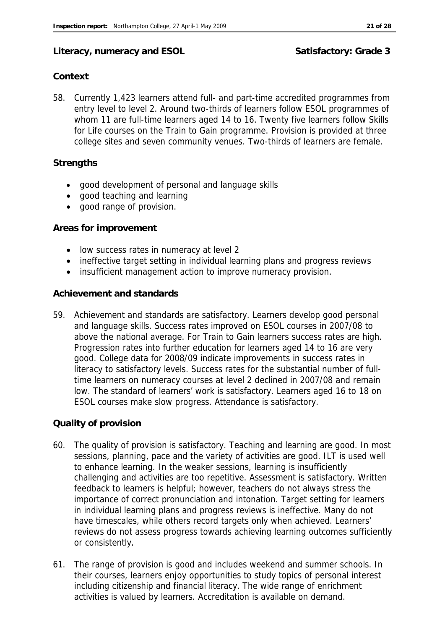#### Literacy, numeracy and ESOL Satisfactory: Grade 3

#### **Context**

58. Currently 1,423 learners attend full- and part-time accredited programmes from entry level to level 2. Around two-thirds of learners follow ESOL programmes of whom 11 are full-time learners aged 14 to 16. Twenty five learners follow Skills for Life courses on the Train to Gain programme. Provision is provided at three college sites and seven community venues. Two-thirds of learners are female.

#### **Strengths**

- good development of personal and language skills
- good teaching and learning
- good range of provision.

#### **Areas for improvement**

- low success rates in numeracy at level 2
- ineffective target setting in individual learning plans and progress reviews
- insufficient management action to improve numeracy provision.

#### **Achievement and standards**

59. Achievement and standards are satisfactory. Learners develop good personal and language skills. Success rates improved on ESOL courses in 2007/08 to above the national average. For Train to Gain learners success rates are high. Progression rates into further education for learners aged 14 to 16 are very good. College data for 2008/09 indicate improvements in success rates in literacy to satisfactory levels. Success rates for the substantial number of fulltime learners on numeracy courses at level 2 declined in 2007/08 and remain low. The standard of learners' work is satisfactory. Learners aged 16 to 18 on ESOL courses make slow progress. Attendance is satisfactory.

#### **Quality of provision**

- 60. The quality of provision is satisfactory. Teaching and learning are good. In most sessions, planning, pace and the variety of activities are good. ILT is used well to enhance learning. In the weaker sessions, learning is insufficiently challenging and activities are too repetitive. Assessment is satisfactory. Written feedback to learners is helpful; however, teachers do not always stress the importance of correct pronunciation and intonation. Target setting for learners in individual learning plans and progress reviews is ineffective. Many do not have timescales, while others record targets only when achieved. Learners' reviews do not assess progress towards achieving learning outcomes sufficiently or consistently.
- 61. The range of provision is good and includes weekend and summer schools. In their courses, learners enjoy opportunities to study topics of personal interest including citizenship and financial literacy. The wide range of enrichment activities is valued by learners. Accreditation is available on demand.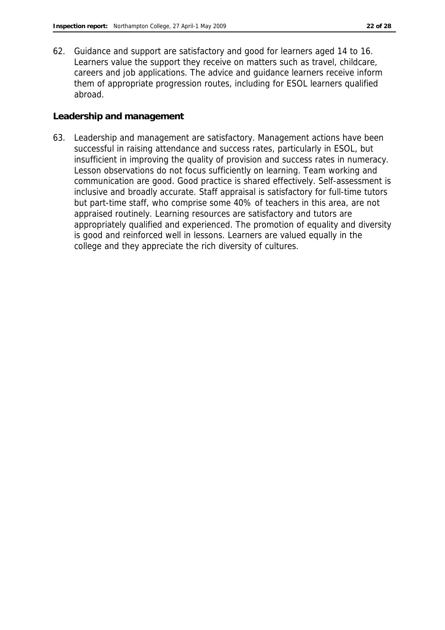62. Guidance and support are satisfactory and good for learners aged 14 to 16. Learners value the support they receive on matters such as travel, childcare, careers and job applications. The advice and guidance learners receive inform them of appropriate progression routes, including for ESOL learners qualified abroad.

**Leadership and management**

63. Leadership and management are satisfactory. Management actions have been successful in raising attendance and success rates, particularly in ESOL, but insufficient in improving the quality of provision and success rates in numeracy. Lesson observations do not focus sufficiently on learning. Team working and communication are good. Good practice is shared effectively. Self-assessment is inclusive and broadly accurate. Staff appraisal is satisfactory for full-time tutors but part-time staff, who comprise some 40% of teachers in this area, are not appraised routinely. Learning resources are satisfactory and tutors are appropriately qualified and experienced. The promotion of equality and diversity is good and reinforced well in lessons. Learners are valued equally in the college and they appreciate the rich diversity of cultures.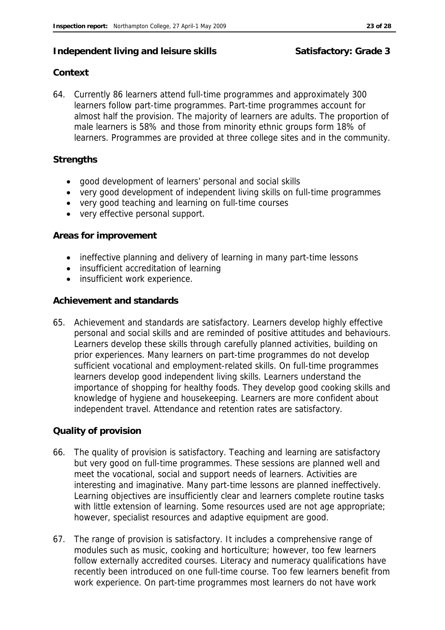#### **Independent living and leisure skills Satisfactory: Grade 3**

#### **Context**

64. Currently 86 learners attend full-time programmes and approximately 300 learners follow part-time programmes. Part-time programmes account for almost half the provision. The majority of learners are adults. The proportion of male learners is 58% and those from minority ethnic groups form 18% of learners. Programmes are provided at three college sites and in the community.

#### **Strengths**

- good development of learners' personal and social skills
- very good development of independent living skills on full-time programmes
- very good teaching and learning on full-time courses
- very effective personal support.

#### **Areas for improvement**

- ineffective planning and delivery of learning in many part-time lessons
- insufficient accreditation of learning
- insufficient work experience.

#### **Achievement and standards**

65. Achievement and standards are satisfactory. Learners develop highly effective personal and social skills and are reminded of positive attitudes and behaviours. Learners develop these skills through carefully planned activities, building on prior experiences. Many learners on part-time programmes do not develop sufficient vocational and employment-related skills. On full-time programmes learners develop good independent living skills. Learners understand the importance of shopping for healthy foods. They develop good cooking skills and knowledge of hygiene and housekeeping. Learners are more confident about independent travel. Attendance and retention rates are satisfactory.

#### **Quality of provision**

- 66. The quality of provision is satisfactory. Teaching and learning are satisfactory but very good on full-time programmes. These sessions are planned well and meet the vocational, social and support needs of learners. Activities are interesting and imaginative. Many part-time lessons are planned ineffectively. Learning objectives are insufficiently clear and learners complete routine tasks with little extension of learning. Some resources used are not age appropriate; however, specialist resources and adaptive equipment are good.
- 67. The range of provision is satisfactory. It includes a comprehensive range of modules such as music, cooking and horticulture; however, too few learners follow externally accredited courses. Literacy and numeracy qualifications have recently been introduced on one full-time course. Too few learners benefit from work experience. On part-time programmes most learners do not have work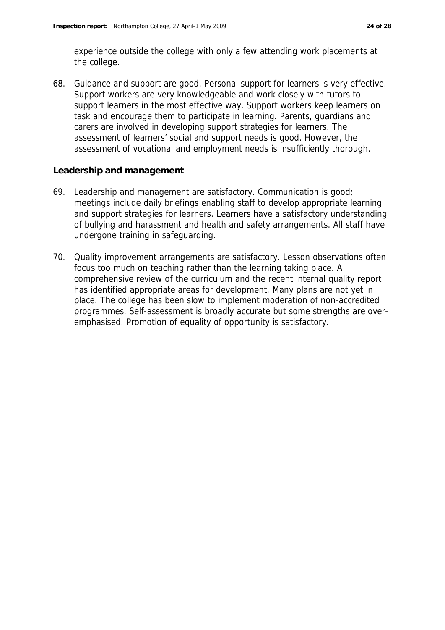experience outside the college with only a few attending work placements at the college.

68. Guidance and support are good. Personal support for learners is very effective. Support workers are very knowledgeable and work closely with tutors to support learners in the most effective way. Support workers keep learners on task and encourage them to participate in learning. Parents, guardians and carers are involved in developing support strategies for learners. The assessment of learners' social and support needs is good. However, the assessment of vocational and employment needs is insufficiently thorough.

#### **Leadership and management**

- 69. Leadership and management are satisfactory. Communication is good; meetings include daily briefings enabling staff to develop appropriate learning and support strategies for learners. Learners have a satisfactory understanding of bullying and harassment and health and safety arrangements. All staff have undergone training in safeguarding.
- 70. Quality improvement arrangements are satisfactory. Lesson observations often focus too much on teaching rather than the learning taking place. A comprehensive review of the curriculum and the recent internal quality report has identified appropriate areas for development. Many plans are not yet in place. The college has been slow to implement moderation of non-accredited programmes. Self-assessment is broadly accurate but some strengths are overemphasised. Promotion of equality of opportunity is satisfactory.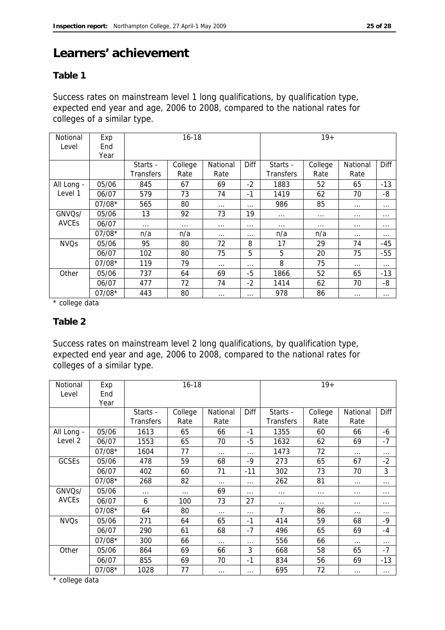# **Learners' achievement**

#### **Table 1**

Success rates on mainstream level 1 long qualifications, by qualification type, expected end year and age, 2006 to 2008, compared to the national rates for colleges of a similar type.

| Notional<br>Level | Exp<br>End | $16 - 18$ |          |          |          |                  | $19+$    |          |          |
|-------------------|------------|-----------|----------|----------|----------|------------------|----------|----------|----------|
|                   | Year       |           |          |          |          |                  |          |          |          |
|                   |            | Starts -  | College  | National | Diff     | Starts -         | College  | National | Diff     |
|                   |            | Transfers | Rate     | Rate     |          | <b>Transfers</b> | Rate     | Rate     |          |
| All Long -        | 05/06      | 845       | 67       | 69       | $-2$     | 1883             | 52       | 65       | $-13$    |
| Level 1           | 06/07      | 579       | 73       | 74       | $-1$     | 1419             | 62       | 70       | -8       |
|                   | $07/08*$   | 565       | 80       | $\cdots$ | $\cdots$ | 986              | 85       | $\cdots$ | $\cdots$ |
| GNVQs/            | 05/06      | 13        | 92       | 73       | 19       | $\cdots$         | $\cdots$ | $\cdots$ | $\cdots$ |
| <b>AVCEs</b>      | 06/07      | $\cdots$  | $\cdots$ | $\cdots$ | $\cdots$ | $\cdots$         | $\cdots$ | $\cdots$ | $\cdots$ |
|                   | $07/08*$   | n/a       | n/a      | $\cdots$ | $\cdots$ | n/a              | n/a      | $\cdots$ | $\cdots$ |
| <b>NVQs</b>       | 05/06      | 95        | 80       | 72       | 8        | 17               | 29       | 74       | -45      |
|                   | 06/07      | 102       | 80       | 75       | 5        | 5                | 20       | 75       | $-55$    |
|                   | $07/08*$   | 119       | 79       | $\cdots$ | $\cdots$ | 8                | 75       | $\cdots$ | $\cdots$ |
| Other             | 05/06      | 737       | 64       | 69       | $-5$     | 1866             | 52       | 65       | $-13$    |
|                   | 06/07      | 477       | 72       | 74       | $-2$     | 1414             | 62       | 70       | -8       |
|                   | $07/08*$   | 443       | 80       | $\cdots$ | $\cdots$ | 978              | 86       | $\cdots$ | $\cdots$ |

\* college data

#### **Table 2**

Success rates on mainstream level 2 long qualifications, by qualification type, expected end year and age, 2006 to 2008, compared to the national rates for colleges of a similar type.

| Notional<br>Level | Exp<br>End<br>Year | $16 - 18$                    |                 |                  |             |                              | $19+$           |                  |          |
|-------------------|--------------------|------------------------------|-----------------|------------------|-------------|------------------------------|-----------------|------------------|----------|
|                   |                    | Starts -<br><b>Transfers</b> | College<br>Rate | National<br>Rate | <b>Diff</b> | Starts -<br><b>Transfers</b> | College<br>Rate | National<br>Rate | Diff     |
| All Long -        | 05/06              | 1613                         | 65              | 66               | $-1$        | 1355                         | 60              | 66               | -6       |
| Level 2           | 06/07              | 1553                         | 65              | 70               | $-5$        | 1632                         | 62              | 69               | $-7$     |
|                   | $07/08*$           | 1604                         | 77              | $\cdots$         | .           | 1473                         | 72              | $\cdots$         | .        |
| <b>GCSEs</b>      | 05/06              | 478                          | 59              | 68               | $-9$        | 273                          | 65              | 67               | $-2$     |
|                   | 06/07              | 402                          | 60              | 71               | $-11$       | 302                          | 73              | 70               | 3        |
|                   | $07/08*$           | 268                          | 82              | $\cdots$         | .           | 262                          | 81              | $\cdots$         | $\cdots$ |
| GNVQs/            | 05/06              | .                            | $\cdots$        | 69               | $\cdots$    | $\cdots$                     | $\cdots$        | .                | $\cdots$ |
| <b>AVCEs</b>      | 06/07              | 6                            | 100             | 73               | 27          | $\cdots$                     | $\cdots$        | .                | $\cdots$ |
|                   | $07/08*$           | 64                           | 80              | $\cdots$         | $\cdots$    | 7                            | 86              | $\cdots$         | $\cdots$ |
| <b>NVQs</b>       | 05/06              | 271                          | 64              | 65               | $-1$        | 414                          | 59              | 68               | $-9$     |
|                   | 06/07              | 290                          | 61              | 68               | $-7$        | 496                          | 65              | 69               | $-4$     |
|                   | $07/08*$           | 300                          | 66              | .                | $\cdots$    | 556                          | 66              | $\cdots$         | $\cdots$ |
| Other             | 05/06              | 864                          | 69              | 66               | 3           | 668                          | 58              | 65               | $-7$     |
|                   | 06/07              | 855                          | 69              | 70               | $-1$        | 834                          | 56              | 69               | $-13$    |
|                   | $07/08*$           | 1028                         | 77              | .                | $\cdots$    | 695                          | 72              | $\cdots$         | $\cdots$ |

\* college data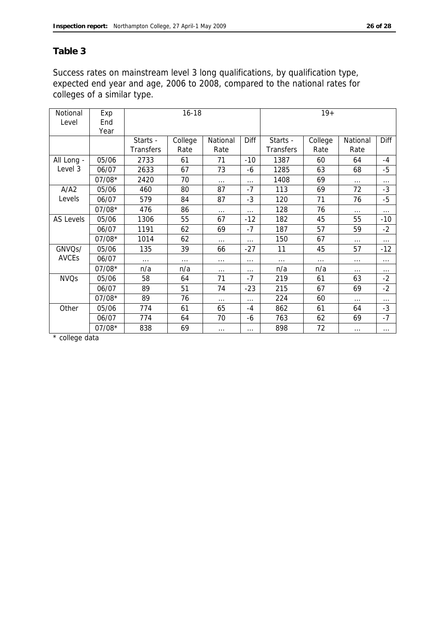#### **Table 3**

Success rates on mainstream level 3 long qualifications, by qualification type, expected end year and age, 2006 to 2008, compared to the national rates for colleges of a similar type.

| Notional         | Exp      | $16 - 18$ |          |          |          | $19+$            |         |          |          |
|------------------|----------|-----------|----------|----------|----------|------------------|---------|----------|----------|
| Level            | End      |           |          |          |          |                  |         |          |          |
|                  | Year     |           |          |          |          |                  |         |          |          |
|                  |          | Starts -  | College  | National | Diff     | Starts -         | College | National | Diff     |
|                  |          | Transfers | Rate     | Rate     |          | <b>Transfers</b> | Rate    | Rate     |          |
| All Long -       | 05/06    | 2733      | 61       | 71       | $-10$    | 1387             | 60      | 64       | $-4$     |
| Level 3          | 06/07    | 2633      | 67       | 73       | -6       | 1285             | 63      | 68       | $-5$     |
|                  | $07/08*$ | 2420      | 70       | $\cdots$ | .        | 1408             | 69      | $\cdots$ | $\cdots$ |
| A/A2             | 05/06    | 460       | 80       | 87       | $-7$     | 113              | 69      | 72       | -3       |
| Levels           | 06/07    | 579       | 84       | 87       | -3       | 120              | 71      | 76       | -5       |
|                  | $07/08*$ | 476       | 86       | $\cdots$ | $\cdots$ | 128              | 76      | $\cdots$ | $\cdots$ |
| <b>AS Levels</b> | 05/06    | 1306      | 55       | 67       | $-12$    | 182              | 45      | 55       | $-10$    |
|                  | 06/07    | 1191      | 62       | 69       | $-7$     | 187              | 57      | 59       | $-2$     |
|                  | $07/08*$ | 1014      | 62       | $\cdots$ | $\cdots$ | 150              | 67      | $\cdots$ | $\cdots$ |
| GNVQs/           | 05/06    | 135       | 39       | 66       | $-27$    | 11               | 45      | 57       | $-12$    |
| <b>AVCEs</b>     | 06/07    | $\cdots$  | $\cdots$ | $\cdots$ | $\cdots$ | .                | .       | $\cdots$ | .        |
|                  | $07/08*$ | n/a       | n/a      | $\cdots$ | $\cdots$ | n/a              | n/a     | $\cdots$ | $\cdots$ |
| <b>NVQs</b>      | 05/06    | 58        | 64       | 71       | $-7$     | 219              | 61      | 63       | $-2$     |
|                  | 06/07    | 89        | 51       | 74       | $-23$    | 215              | 67      | 69       | $-2$     |
|                  | $07/08*$ | 89        | 76       | $\cdots$ | .        | 224              | 60      | $\cdots$ | $\cdots$ |
| Other            | 05/06    | 774       | 61       | 65       | -4       | 862              | 61      | 64       | $-3$     |
|                  | 06/07    | 774       | 64       | 70       | -6       | 763              | 62      | 69       | -7       |
|                  | 07/08*   | 838       | 69       | $\cdots$ | $\cdots$ | 898              | 72      | $\cdots$ | $\cdots$ |

\* college data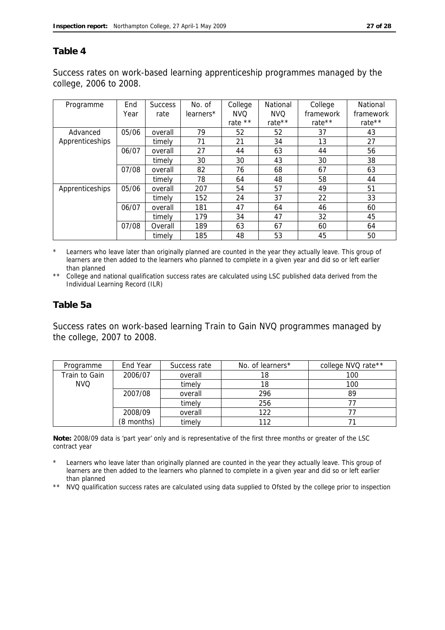#### **Table 4**

Success rates on work-based learning apprenticeship programmes managed by the college, 2006 to 2008.

| Programme       | End   | <b>Success</b> | No. of    | College    | National   | College   | National  |
|-----------------|-------|----------------|-----------|------------|------------|-----------|-----------|
|                 | Year  | rate           | learners* | <b>NVQ</b> | <b>NVQ</b> | framework | framework |
|                 |       |                |           | rate **    | rate**     | rate**    | rate**    |
| Advanced        | 05/06 | overall        | 79        | 52         | 52         | 37        | 43        |
| Apprenticeships |       | timely         | 71        | 21         | 34         | 13        | 27        |
|                 | 06/07 | overall        | 27        | 44         | 63         | 44        | 56        |
|                 |       | timely         | 30        | 30         | 43         | 30        | 38        |
|                 | 07/08 | overall        | 82        | 76         | 68         | 67        | 63        |
|                 |       | timely         | 78        | 64         | 48         | 58        | 44        |
| Apprenticeships | 05/06 | overall        | 207       | 54         | 57         | 49        | 51        |
|                 |       | timely         | 152       | 24         | 37         | 22        | 33        |
|                 | 06/07 | overall        | 181       | 47         | 64         | 46        | 60        |
|                 |       | timely         | 179       | 34         | 47         | 32        | 45        |
|                 | 07/08 | Overall        | 189       | 63         | 67         | 60        | 64        |
|                 |       | timely         | 185       | 48         | 53         | 45        | 50        |

\* Learners who leave later than originally planned are counted in the year they actually leave. This group of learners are then added to the learners who planned to complete in a given year and did so or left earlier than planned

\*\* College and national qualification success rates are calculated using LSC published data derived from the Individual Learning Record (ILR)

#### **Table 5a**

Success rates on work-based learning Train to Gain NVQ programmes managed by the college, 2007 to 2008.

| Programme     | End Year   | Success rate | No. of learners* | college NVQ rate** |
|---------------|------------|--------------|------------------|--------------------|
| Train to Gain | 2006/07    | overall      | 18               | 100                |
| <b>NVQ</b>    |            | timely       | 18               | 100                |
|               | 2007/08    | overall      | 296              | 89                 |
|               |            | timely       | 256              |                    |
|               | 2008/09    | overall      | 122              |                    |
|               | (8 months) | timely       | 112              |                    |

**Note:** 2008/09 data is 'part year' only and is representative of the first three months or greater of the LSC contract year

- Learners who leave later than originally planned are counted in the year they actually leave. This group of learners are then added to the learners who planned to complete in a given year and did so or left earlier than planned
- \*\* NVQ qualification success rates are calculated using data supplied to Ofsted by the college prior to inspection